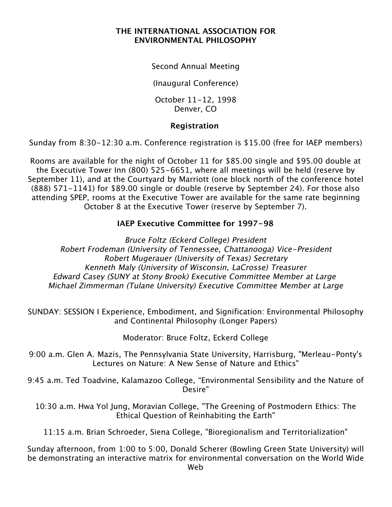## **THE INTERNATIONAL ASSOCIATION FOR ENVIRONMENTAL PHILOSOPHY**

Second Annual Meeting

(Inaugural Conference)

October 11-12, 1998 Denver, CO

## **Registration**

Sunday from 8:30-12:30 a.m. Conference registration is \$15.00 (free for IAEP members)

Rooms are available for the night of October 11 for \$85.00 single and \$95.00 double at the Executive Tower Inn (800) 525-6651, where all meetings will be held (reserve by September 11), and at the Courtyard by Marriott (one block north of the conference hotel (888) 571-1141) for \$89.00 single or double (reserve by September 24). For those also attending SPEP, rooms at the Executive Tower are available for the same rate beginning October 8 at the Executive Tower (reserve by September 7).

## **IAEP Executive Committee for 1997-98**

Bruce Foltz (Eckerd College) President Robert Frodeman (University of Tennessee, Chattanooga) Vice-President Robert Mugerauer (University of Texas) Secretary Kenneth Maly (University of Wisconsin, LaCrosse) Treasurer Edward Casey (SUNY at Stony Brook) Executive Committee Member at Large Michael Zimmerman (Tulane University) Executive Committee Member at Large

SUNDAY: SESSION I Experience, Embodiment, and Signification: Environmental Philosophy and Continental Philosophy (Longer Papers)

Moderator: Bruce Foltz, Eckerd College

9:00 a.m. Glen A. Mazis, The Pennsylvania State University, Harrisburg, "Merleau-Ponty's Lectures on Nature: A New Sense of Nature and Ethics"

9:45 a.m. Ted Toadvine, Kalamazoo College, "Environmental Sensibility and the Nature of Desire"

10:30 a.m. Hwa Yol Jung, Moravian College, "The Greening of Postmodern Ethics: The Ethical Question of Reinhabiting the Earth"

11:15 a.m. Brian Schroeder, Siena College, "Bioregionalism and Territorialization"

Sunday afternoon, from 1:00 to 5:00, Donald Scherer (Bowling Green State University) will be demonstrating an interactive matrix for environmental conversation on the World Wide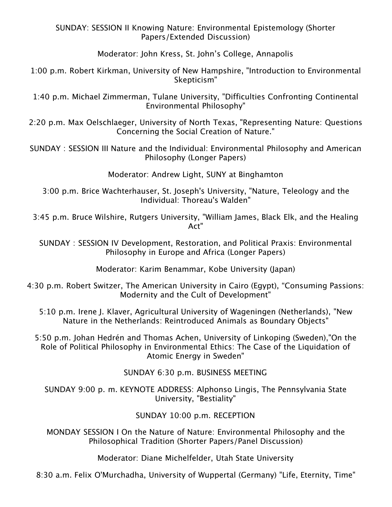SUNDAY: SESSION II Knowing Nature: Environmental Epistemology (Shorter Papers/Extended Discussion)

Moderator: John Kress, St. John's College, Annapolis

1:00 p.m. Robert Kirkman, University of New Hampshire, "Introduction to Environmental Skepticism"

1:40 p.m. Michael Zimmerman, Tulane University, "Difficulties Confronting Continental Environmental Philosophy"

2:20 p.m. Max Oelschlaeger, University of North Texas, "Representing Nature: Questions Concerning the Social Creation of Nature."

SUNDAY : SESSION III Nature and the Individual: Environmental Philosophy and American Philosophy (Longer Papers)

Moderator: Andrew Light, SUNY at Binghamton

3:00 p.m. Brice Wachterhauser, St. Joseph's University, "Nature, Teleology and the Individual: Thoreau's Walden"

3:45 p.m. Bruce Wilshire, Rutgers University, "William James, Black Elk, and the Healing Act"

SUNDAY : SESSION IV Development, Restoration, and Political Praxis: Environmental Philosophy in Europe and Africa (Longer Papers)

Moderator: Karim Benammar, Kobe University (Japan)

4:30 p.m. Robert Switzer, The American University in Cairo (Egypt), "Consuming Passions: Modernity and the Cult of Development"

5:10 p.m. Irene J. Klaver, Agricultural University of Wageningen (Netherlands), "New Nature in the Netherlands: Reintroduced Animals as Boundary Objects"

5:50 p.m. Johan Hedrén and Thomas Achen, University of Linkoping (Sweden),"On the Role of Political Philosophy in Environmental Ethics: The Case of the Liquidation of Atomic Energy in Sweden"

SUNDAY 6:30 p.m. BUSINESS MEETING

SUNDAY 9:00 p. m. KEYNOTE ADDRESS: Alphonso Lingis, The Pennsylvania State University, "Bestiality"

## SUNDAY 10:00 p.m. RECEPTION

MONDAY SESSION I On the Nature of Nature: Environmental Philosophy and the Philosophical Tradition (Shorter Papers/Panel Discussion)

Moderator: Diane Michelfelder, Utah State University

8:30 a.m. Felix O'Murchadha, University of Wuppertal (Germany) "Life, Eternity, Time"